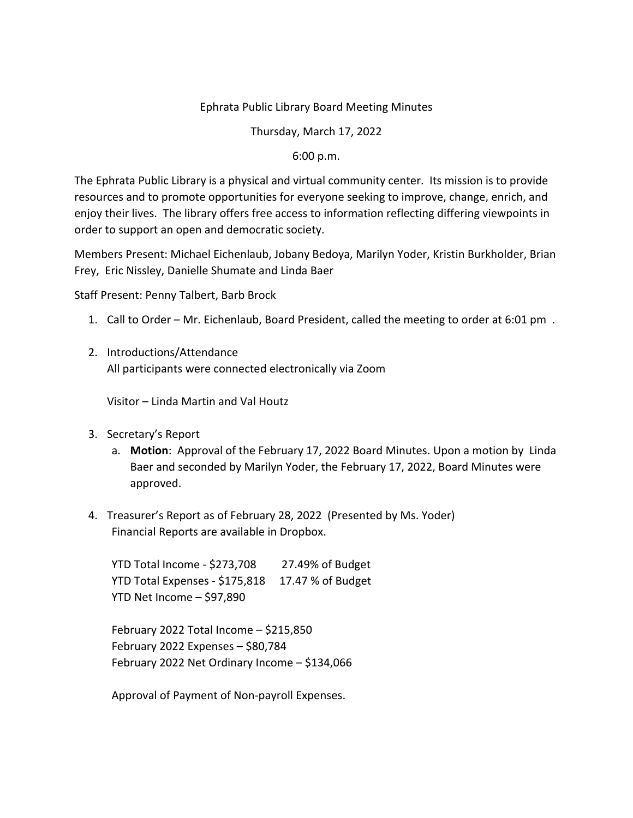## Ephrata Public Library Board Meeting Minutes

Thursday, March 17, 2022

## 6:00 p.m.

The Ephrata Public Library is a physical and virtual community center. Its mission is to provide resources and to promote opportunities for everyone seeking to improve, change, enrich, and enjoy their lives. The library offers free access to information reflecting differing viewpoints in order to support an open and democratic society.

Members Present: Michael Eichenlaub, Jobany Bedoya, Marilyn Yoder, Kristin Burkholder, Brian Frey, Eric Nissley, Danielle Shumate and Linda Baer

Staff Present: Penny Talbert, Barb Brock

- 1. Call to Order Mr. Eichenlaub, Board President, called the meeting to order at 6:01 pm .
- 2. Introductions/Attendance All participants were connected electronically via Zoom

Visitor – Linda Martin and Val Houtz

- 3. Secretary's Report
	- a. **Motion**: Approval of the February 17, 2022 Board Minutes. Upon a motion by Linda Baer and seconded by Marilyn Yoder, the February 17, 2022, Board Minutes were approved.
- 4. Treasurer's Report as of February 28, 2022 (Presented by Ms. Yoder) Financial Reports are available in Dropbox.

YTD Total Income - \$273,708 27.49% of Budget YTD Total Expenses - \$175,818 17.47 % of Budget YTD Net Income – \$97,890

February 2022 Total Income – \$215,850 February 2022 Expenses – \$80,784 February 2022 Net Ordinary Income – \$134,066

Approval of Payment of Non-payroll Expenses.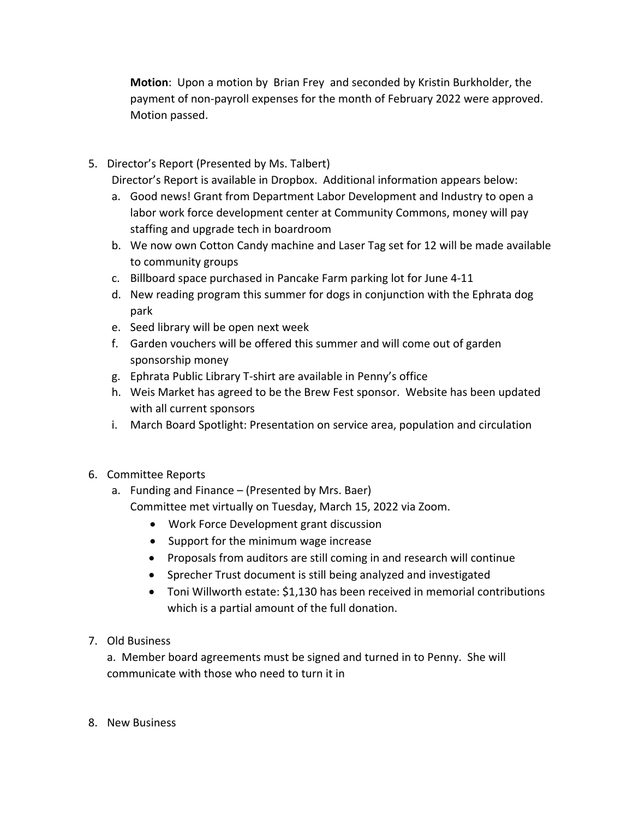**Motion**: Upon a motion by Brian Frey and seconded by Kristin Burkholder, the payment of non-payroll expenses for the month of February 2022 were approved. Motion passed.

5. Director's Report (Presented by Ms. Talbert)

Director's Report is available in Dropbox. Additional information appears below:

- a. Good news! Grant from Department Labor Development and Industry to open a labor work force development center at Community Commons, money will pay staffing and upgrade tech in boardroom
- b. We now own Cotton Candy machine and Laser Tag set for 12 will be made available to community groups
- c. Billboard space purchased in Pancake Farm parking lot for June 4-11
- d. New reading program this summer for dogs in conjunction with the Ephrata dog park
- e. Seed library will be open next week
- f. Garden vouchers will be offered this summer and will come out of garden sponsorship money
- g. Ephrata Public Library T-shirt are available in Penny's office
- h. Weis Market has agreed to be the Brew Fest sponsor. Website has been updated with all current sponsors
- i. March Board Spotlight: Presentation on service area, population and circulation
- 6. Committee Reports
	- a. Funding and Finance (Presented by Mrs. Baer) Committee met virtually on Tuesday, March 15, 2022 via Zoom.
		- Work Force Development grant discussion
		- Support for the minimum wage increase
		- Proposals from auditors are still coming in and research will continue
		- Sprecher Trust document is still being analyzed and investigated
		- Toni Willworth estate: \$1,130 has been received in memorial contributions which is a partial amount of the full donation.
- 7. Old Business

a. Member board agreements must be signed and turned in to Penny. She will communicate with those who need to turn it in

8. New Business